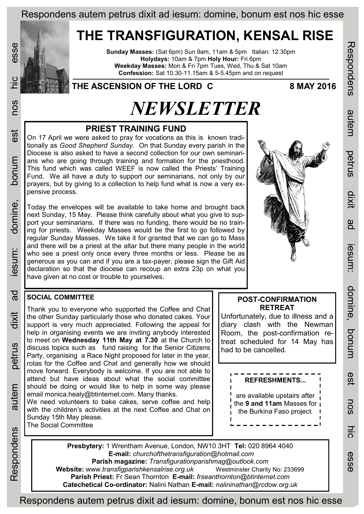Respondens autem petrus dixit ad iesum: domine, bonum est nos hic esse

## **THE TRANSFIGURATION, KENSAL RISE**

**Sunday Masses:** (Sat 6pm) Sun 9am, 11am & 5pm Italian: 12.30pm **Holydays:** 10am & 7pm **Holy Hour:** Fri 6pm **Weekday Masses:** Mon & Fri 7pm Tues, Wed, Thu & Sat 10am **Confession:** Sat 10.30-11.15am & 5-5.45pm and on request

### **THE ASCENSION OF THE LORD C 8 MAY 2016**

# *NEWSLETTER*

#### **PRIEST TRAINING FUND**

On 17 April we were asked to pray for vocations as this is known traditionally as *Good Shepherd Sunday.* On that Sunday every parish in the Diocese is also asked to have a second collection for our own seminarians who are going through training and formation for the priesthood. This fund which was called WEEF is now called the Priests' Training Fund. We all have a duty to support our seminarians, not only by our prayers, but by giving to a collection to help fund what is now a very expensive process.

Today the envelopes will be available to take home and brought back next Sunday, 15 May. Please think carefully about what you give to support your seminarians. If there was no funding, there would be no training for priests. Weekday Masses would be the first to go followed by regular Sunday Masses. We take it for granted that we can go to Mass and there will be a priest at the altar but there many people in the world who see a priest only once every three months or less. Please be as generous as you can and if you are a tax-payer, please sign the Gift Aid declaration so that the diocese can recoup an extra 23p on what you have given at no cost or trouble to yourselves.

# **POST-CONFIRMATION**

Respondens autem petrus dixit ad iesum: domine, bonum est nos hic esse

**Iesum**:

domine,

ponun

esi

**NOS** 

 $rac{1}{2}$ 

esse

Respondens

autem

petrus

**UXII** 

ga

Unfortunately, due to illness and a diary clash with the Newman Room, the post-confirmation retreat scheduled for 14 May has had to be cancelled.

**Presbytery:** 1 Wrentham Avenue, London, NW10 3HT **Tel:** 020 8964 4040 **E-mail:** *churchofthetransfiguration@hotmail.com*  **Parish magazine:** *Transfigurationparishmag@outlook.com*  **Website:** www.*transfigparishkensalrise.org.uk* Westminster Charity No: 233699 **Parish Priest:** Fr Sean Thornton **E-mail:** *frseanthornton@btinternet.com*  **Catechetical Co-ordinator:** Nalini Nathan **E-mail:** *nalininathan@rcdow.org.uk* 

## **RETREAT**

**REFRESHMENTS...**

are available upstairs after the **9 and 11am** Masses for the Burkina Faso project.

Respondens autem petrus dixit ad iesum: domine, bonum est nos hic esse

#### **SOCIAL COMMITTEE**

Thank you to everyone who supported the Coffee and Chat the other Sunday particularly those who donated cakes. Your support is very much appreciated. Following the appeal for help in organising events we are inviting anybody interested to meet on **Wednesday 11th May at 7.30** at the Church to discuss topics such as fund raising for the Senior Citizens Party, organising a Race Night proposed for later in the year, rotas for the Coffee and Chat and generally how we should move forward. Everybody is welcome. If you are not able to attend but have ideas about what the social committee should be doing or would like to help in some way please email monica.healy@btinternet.com. Many thanks. We need volunteers to bake cakes, serve coffee and help

with the children's activities at the next Coffee and Chat on Sunday 15th May please. The Social Committee

Respondens autem petrus dixit ad iesum: domine, bonum est nos hic esse petrus autem Respondens

esse

COS

est

bonum

domine,

esum:

 $\overline{a}$ 

dixit